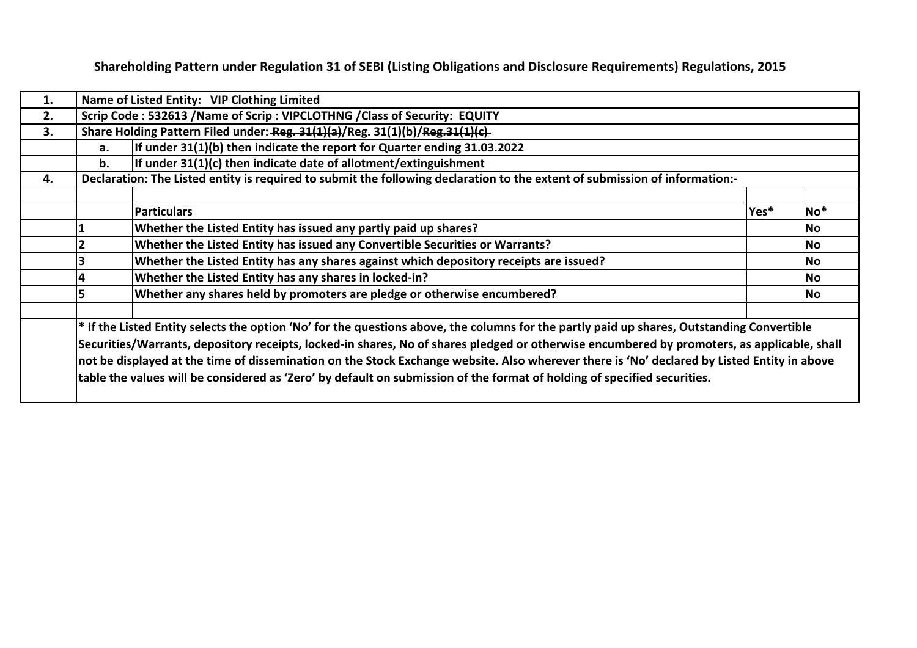**Shareholding Pattern under Regulation 31 of SEBI (Listing Obligations and Disclosure Requirements) Regulations, 2015**

| 1. |                                                                                                                             | Name of Listed Entity: VIP Clothing Limited                                                                                                   |      |                 |  |  |  |  |  |  |  |  |  |
|----|-----------------------------------------------------------------------------------------------------------------------------|-----------------------------------------------------------------------------------------------------------------------------------------------|------|-----------------|--|--|--|--|--|--|--|--|--|
| 2. |                                                                                                                             | Scrip Code: 532613 / Name of Scrip: VIPCLOTHNG / Class of Security: EQUITY                                                                    |      |                 |  |  |  |  |  |  |  |  |  |
| 3. |                                                                                                                             | Share Holding Pattern Filed under: Reg. 31(1)(a)/Reg. 31(1)(b)/Reg. 31(1)(c)                                                                  |      |                 |  |  |  |  |  |  |  |  |  |
|    | a.                                                                                                                          | If under 31(1)(b) then indicate the report for Quarter ending 31.03.2022                                                                      |      |                 |  |  |  |  |  |  |  |  |  |
|    | If under $31(1)(c)$ then indicate date of allotment/extinguishment<br>b.                                                    |                                                                                                                                               |      |                 |  |  |  |  |  |  |  |  |  |
| 4. | Declaration: The Listed entity is required to submit the following declaration to the extent of submission of information:- |                                                                                                                                               |      |                 |  |  |  |  |  |  |  |  |  |
|    |                                                                                                                             |                                                                                                                                               |      |                 |  |  |  |  |  |  |  |  |  |
|    |                                                                                                                             | <b>Particulars</b>                                                                                                                            | Yes* | No <sup>*</sup> |  |  |  |  |  |  |  |  |  |
|    |                                                                                                                             | Whether the Listed Entity has issued any partly paid up shares?                                                                               |      | No              |  |  |  |  |  |  |  |  |  |
|    |                                                                                                                             | Whether the Listed Entity has issued any Convertible Securities or Warrants?                                                                  |      | <b>No</b>       |  |  |  |  |  |  |  |  |  |
|    |                                                                                                                             | Whether the Listed Entity has any shares against which depository receipts are issued?                                                        |      | <b>No</b>       |  |  |  |  |  |  |  |  |  |
|    |                                                                                                                             | Whether the Listed Entity has any shares in locked-in?                                                                                        |      | <b>No</b>       |  |  |  |  |  |  |  |  |  |
|    |                                                                                                                             | Whether any shares held by promoters are pledge or otherwise encumbered?                                                                      |      | No              |  |  |  |  |  |  |  |  |  |
|    |                                                                                                                             |                                                                                                                                               |      |                 |  |  |  |  |  |  |  |  |  |
|    |                                                                                                                             | $ *$ If the Listed Entity selects the option 'No' for the questions above, the columns for the partly paid up shares, Outstanding Convertible |      |                 |  |  |  |  |  |  |  |  |  |
|    |                                                                                                                             | Securities/Warrants, depository receipts, locked-in shares, No of shares pledged or otherwise encumbered by promoters, as applicable, shall   |      |                 |  |  |  |  |  |  |  |  |  |
|    |                                                                                                                             | not be displayed at the time of dissemination on the Stock Exchange website. Also wherever there is 'No' declared by Listed Entity in above   |      |                 |  |  |  |  |  |  |  |  |  |
|    |                                                                                                                             | table the values will be considered as 'Zero' by default on submission of the format of holding of specified securities.                      |      |                 |  |  |  |  |  |  |  |  |  |
|    |                                                                                                                             |                                                                                                                                               |      |                 |  |  |  |  |  |  |  |  |  |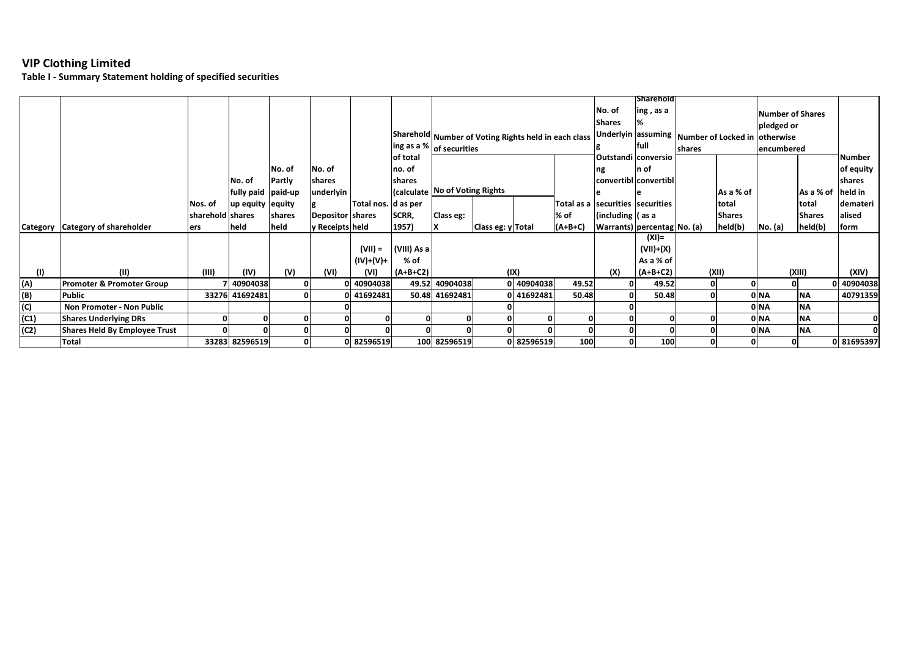**Table I ‐ Summary Statement holding of specified securities**

|          |                                      |                  |                    |        |                  |                     |                                                   |                                  |                                                      |            |           |                                  | Sharehold                   |        |                                                  |                         |               |            |
|----------|--------------------------------------|------------------|--------------------|--------|------------------|---------------------|---------------------------------------------------|----------------------------------|------------------------------------------------------|------------|-----------|----------------------------------|-----------------------------|--------|--------------------------------------------------|-------------------------|---------------|------------|
|          |                                      |                  |                    |        |                  |                     |                                                   |                                  |                                                      |            |           | No. of                           | ing, as a                   |        |                                                  | <b>Number of Shares</b> |               |            |
|          |                                      |                  |                    |        |                  |                     |                                                   |                                  |                                                      |            |           | <b>Shares</b>                    |                             |        |                                                  | pledged or              |               |            |
|          |                                      |                  |                    |        |                  |                     |                                                   |                                  | Sharehold Number of Voting Rights held in each class |            |           |                                  |                             |        | Underlyin assuming Number of Locked in otherwise |                         |               |            |
|          |                                      |                  |                    |        |                  |                     | $\left \right $ ing as a % $\left $ of securities |                                  |                                                      |            |           |                                  | lfull                       | shares |                                                  | encumbered              |               |            |
|          |                                      |                  |                    |        |                  |                     | of total                                          |                                  |                                                      |            |           |                                  | Outstandi conversio         |        |                                                  |                         |               | Number     |
|          |                                      |                  |                    | No. of | No. of           |                     | no. of                                            |                                  |                                                      |            |           | ng                               | In of                       |        |                                                  |                         |               | of equity  |
|          |                                      |                  | No. of             | Partly | shares           |                     | shares                                            |                                  |                                                      |            |           |                                  | convertibl convertibl       |        |                                                  |                         |               | shares     |
|          |                                      |                  | fully paid paid-up |        | underlyin        |                     |                                                   | (calculate   No of Voting Rights |                                                      |            |           |                                  |                             |        | As a % of                                        |                         | As a % of     | held in    |
|          |                                      | Nos. of          | up equity equity   |        |                  | Total nos. d as per |                                                   |                                  |                                                      |            |           | Total as a securities securities |                             | total  |                                                  | total                   | demateri      |            |
|          |                                      | sharehold shares |                    | shares | Depositor shares |                     | SCRR,                                             | Class eg:                        |                                                      |            | % of      | (including (as a                 |                             |        | <b>Shares</b>                                    |                         | <b>Shares</b> | alised     |
| Category | Category of shareholder              | ers              | held               | held   | y Receipts held  |                     | 1957)                                             | Class eg: y Total                |                                                      |            | $(A+B+C)$ |                                  | Warrants) percentag No. (a) |        | held(b)                                          | No. (a)                 | held(b)       | form       |
|          |                                      |                  |                    |        |                  |                     |                                                   |                                  |                                                      |            |           |                                  | (XI)=                       |        |                                                  |                         |               |            |
|          |                                      |                  |                    |        |                  | $(VII) =$           | (VIII) As a                                       |                                  |                                                      |            |           |                                  | (VII)+(X)                   |        |                                                  |                         |               |            |
|          |                                      |                  |                    |        |                  | $(IV)+(V)+$         | % of                                              |                                  |                                                      |            |           |                                  | As a % of                   |        |                                                  |                         |               |            |
| (1)      | (11)                                 | (III)            | (IV)               | (V)    | (VI)             | (VI)                | $(A+B+C2)$                                        |                                  |                                                      | (IX)       |           | (X)                              | $(A+B+C2)$                  |        | (XII)                                            |                         | (XIII)        | (XIV)      |
| (A)      | Promoter & Promoter Group            |                  | 40904038           |        |                  | 40904038            |                                                   | 49.52 40904038                   |                                                      | 0 40904038 | 49.52     |                                  | 49.52                       | 0      |                                                  |                         |               | 0 40904038 |
| (B)      | <b>Public</b>                        |                  | 33276 41692481     |        |                  | 41692481            |                                                   | 50.48 41692481                   |                                                      | 0 41692481 | 50.48     |                                  | 50.48                       |        |                                                  | 0 NA                    | <b>NA</b>     | 40791359   |
| (C)      | Non Promoter - Non Public            |                  |                    |        |                  |                     |                                                   |                                  |                                                      |            |           |                                  |                             |        |                                                  | 0 NA                    | <b>NA</b>     |            |
| (C1)     | <b>Shares Underlying DRs</b>         |                  |                    |        |                  |                     |                                                   |                                  |                                                      |            |           |                                  |                             |        |                                                  | 0 NA                    | <b>NA</b>     |            |
| (C2)     | <b>Shares Held By Employee Trust</b> |                  |                    |        |                  |                     |                                                   |                                  |                                                      |            |           |                                  |                             |        |                                                  | 0 NA                    | <b>NA</b>     |            |
|          | <b>Total</b>                         |                  | 33283 82596519     |        |                  | 82596519            |                                                   | 100 82596519                     |                                                      | 0 82596519 | 100       |                                  | 100                         |        |                                                  |                         |               | 0 81695397 |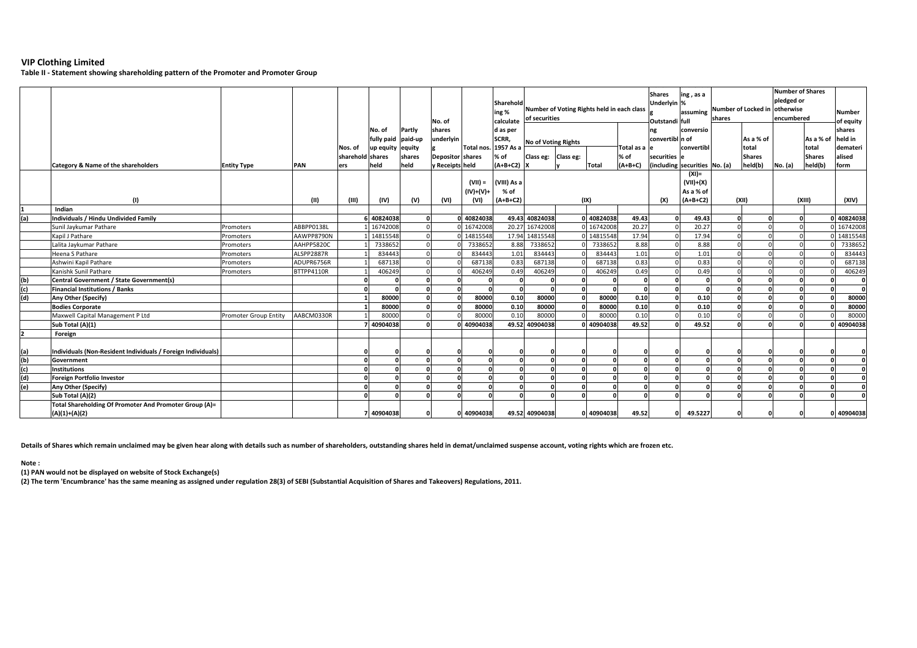**Table II ‐ Statement showing shareholding pattern of the Promoter and Promoter Group**

|                   | Category & Name of the shareholders                                       | <b>Entity Type</b>           | PAN        | Nos. of<br>sharehold shares<br>ers | No. of<br>fully paid paid-up<br>up equity equity<br>held | Partly<br>shares<br>held | No. of<br>shares<br>underlyin<br><b>Depositor shares</b><br>y Receipts held | Total nos.          | Sharehold<br>ing %<br>calculate<br>d as per<br>SCRR,<br>. 1957 As a<br>% of<br>$(A+B+C2)$ | of securities<br><b>No of Voting Rights</b><br>Class eg: | Number of Voting Rights held in each class<br>Class eg: | <b>Total</b> | Total as a<br>% of<br>$(A+B+C)$ | Shares<br>Underlyin %<br>Outstandi full<br>ng<br>convertibl n of<br>securities<br>(including | ing, as a<br>conversio<br>convertibl<br>securities No. (a)<br>$(XI) =$ | shares | assuming Number of Locked in<br>As a % of<br>total<br><b>Shares</b><br>held(b) | <b>Number of Shares</b><br>pledged or<br>otherwise<br>encumbered<br>No. (a) | As a % of<br>total<br><b>Shares</b><br>held(b) | <b>Number</b><br>of equity<br>shares<br>held in<br>demateri<br>alised<br>form |
|-------------------|---------------------------------------------------------------------------|------------------------------|------------|------------------------------------|----------------------------------------------------------|--------------------------|-----------------------------------------------------------------------------|---------------------|-------------------------------------------------------------------------------------------|----------------------------------------------------------|---------------------------------------------------------|--------------|---------------------------------|----------------------------------------------------------------------------------------------|------------------------------------------------------------------------|--------|--------------------------------------------------------------------------------|-----------------------------------------------------------------------------|------------------------------------------------|-------------------------------------------------------------------------------|
|                   |                                                                           |                              |            |                                    |                                                          |                          |                                                                             | $(VII) =$           | (VIII) As a                                                                               |                                                          |                                                         |              |                                 |                                                                                              | $(VII)+(X)$                                                            |        |                                                                                |                                                                             |                                                |                                                                               |
|                   | (1)                                                                       |                              | (11)       | (III)                              | (IV)                                                     | (V)                      | (VI)                                                                        | $(IV)+(V)+$<br>(VI) | % of<br>$(A+B+C2)$                                                                        |                                                          | (IX)                                                    |              |                                 | (X)                                                                                          | As a % of<br>$(A+B+C2)$                                                |        | (X  )                                                                          |                                                                             | (XIII)                                         | (XIV)                                                                         |
|                   | Indian                                                                    |                              |            |                                    |                                                          |                          |                                                                             |                     |                                                                                           |                                                          |                                                         |              |                                 |                                                                                              |                                                                        |        |                                                                                |                                                                             |                                                |                                                                               |
| (a)               | Individuals / Hindu Undivided Family                                      |                              |            |                                    | 40824038                                                 |                          |                                                                             | 40824038            |                                                                                           | 49.43 40824038                                           |                                                         | 0 40824038   | 49.43                           |                                                                                              | 49.43                                                                  |        | n                                                                              |                                                                             |                                                | 0 40824038                                                                    |
|                   | Sunil Jaykumar Pathare                                                    | Promoters                    | ABBPP0138L |                                    | 16742008                                                 |                          |                                                                             | 16742008            |                                                                                           | 20.27 16742008                                           |                                                         | 0 16742008   | 20.27                           |                                                                                              | 20.27                                                                  |        |                                                                                |                                                                             |                                                | 16742008                                                                      |
|                   | Kapil J Pathare                                                           | Promoters                    | AAWPP8790N |                                    | 14815548                                                 |                          |                                                                             | 14815548            |                                                                                           | 17.94 14815548                                           |                                                         | 0 14815548   | 17.94                           |                                                                                              | 17.94                                                                  |        |                                                                                |                                                                             |                                                | 0 14815548                                                                    |
|                   | Lalita Jaykumar Pathare                                                   | Promoters                    | AAHPP5820C |                                    | 733865                                                   |                          |                                                                             | 7338652             | 8.88                                                                                      | 7338652                                                  |                                                         | 7338652      | 8.88                            |                                                                                              | 8.88                                                                   |        |                                                                                |                                                                             |                                                | 733865                                                                        |
|                   | Heena S Pathare                                                           | Promoters                    | ALSPP2887R |                                    | 834443                                                   |                          |                                                                             | 834443              | 1.01                                                                                      | 834443                                                   |                                                         | 834443       | 1.01                            |                                                                                              | 1.01                                                                   |        |                                                                                |                                                                             |                                                | 834443                                                                        |
|                   | Ashwini Kapil Pathare                                                     | Promoters                    | ADUPR6756R |                                    | 687138                                                   |                          |                                                                             | 687138              | 0.83                                                                                      | 687138                                                   |                                                         | 687138       | 0.83                            |                                                                                              | 0.83                                                                   |        |                                                                                |                                                                             |                                                | 687138                                                                        |
|                   | Kanishk Sunil Pathare                                                     | Promoters                    | BTTPP4110R |                                    | 406249                                                   |                          |                                                                             | 406249              | 0.49                                                                                      | 406249                                                   |                                                         | 406249       | 0.49                            |                                                                                              | 0.49                                                                   |        |                                                                                |                                                                             |                                                | 406249                                                                        |
|                   | Central Government / State Government(s)                                  |                              |            |                                    |                                                          |                          |                                                                             |                     | $\sqrt{2}$                                                                                |                                                          |                                                         | $\Omega$     |                                 |                                                                                              |                                                                        |        |                                                                                |                                                                             |                                                |                                                                               |
| (b)<br>(c)<br>(d) | <b>Financial Institutions / Banks</b>                                     |                              |            |                                    |                                                          |                          |                                                                             |                     | $\sqrt{2}$                                                                                |                                                          | $\sqrt{2}$                                              | 0.           |                                 |                                                                                              |                                                                        |        |                                                                                |                                                                             |                                                |                                                                               |
|                   | Any Other (Specify)                                                       |                              |            |                                    | 80000                                                    |                          |                                                                             | 80000               | 0.10                                                                                      | 80000                                                    |                                                         | 80000        | 0.10                            |                                                                                              | 0.10                                                                   |        | n                                                                              |                                                                             |                                                | 80000                                                                         |
|                   | <b>Bodies Corporate</b>                                                   |                              |            |                                    | 80000                                                    |                          |                                                                             | 80000               | 0.10                                                                                      | 80000                                                    | $\sqrt{2}$                                              | 80000        | 0.10                            |                                                                                              | 0.10                                                                   |        | $\Omega$                                                                       |                                                                             |                                                | 80000                                                                         |
|                   | Maxwell Capital Management P Ltd                                          | <b>Promoter Group Entity</b> | AABCM0330R |                                    | 80000                                                    |                          |                                                                             | 80000               | 0.10                                                                                      | 80000                                                    | $\Omega$                                                | 80000        | 0.10                            |                                                                                              | 0.10                                                                   |        |                                                                                |                                                                             |                                                | 80000                                                                         |
|                   | Sub Total (A)(1)                                                          |                              |            |                                    | 40904038                                                 |                          |                                                                             | 40904038            |                                                                                           | 49.52 40904038                                           |                                                         | 0 40904038   | 49.52                           |                                                                                              | 49.52                                                                  |        | $\Omega$                                                                       |                                                                             |                                                | 40904038                                                                      |
| 2                 | Foreign                                                                   |                              |            |                                    |                                                          |                          |                                                                             |                     |                                                                                           |                                                          |                                                         |              |                                 |                                                                                              |                                                                        |        |                                                                                |                                                                             |                                                |                                                                               |
| (a)               | Individuals (Non-Resident Individuals / Foreign Individuals)              |                              |            |                                    |                                                          |                          |                                                                             |                     |                                                                                           |                                                          |                                                         | $\Omega$     | $\Omega$                        |                                                                                              | $\Omega$                                                               |        | $\mathbf{0}$                                                                   |                                                                             |                                                |                                                                               |
| (q)               | Government                                                                |                              |            | $\Omega$                           |                                                          |                          |                                                                             |                     | $\Omega$                                                                                  |                                                          | $\Omega$                                                | o            | $\Omega$                        |                                                                                              | $\Omega$                                                               |        | $\Omega$                                                                       |                                                                             |                                                |                                                                               |
| (c)               | <b>Institutions</b>                                                       |                              |            |                                    |                                                          |                          |                                                                             |                     | $\Omega$                                                                                  |                                                          | $\Omega$                                                | $\Omega$     |                                 |                                                                                              | $\Omega$                                                               |        | $\Omega$                                                                       |                                                                             |                                                |                                                                               |
| (d)               | <b>Foreign Portfolio Investor</b>                                         |                              |            |                                    |                                                          |                          |                                                                             |                     | $\mathbf{r}$                                                                              |                                                          | $\sqrt{2}$                                              | $\Omega$     |                                 |                                                                                              | n                                                                      |        | $\Omega$                                                                       |                                                                             |                                                |                                                                               |
| (e)               | Any Other (Specify)                                                       |                              |            |                                    |                                                          |                          |                                                                             |                     | $\Omega$                                                                                  |                                                          | $\Omega$                                                | $\Omega$     | $\sqrt{2}$                      |                                                                                              | $\Omega$                                                               |        | $\Omega$                                                                       |                                                                             | $\Omega$                                       |                                                                               |
|                   | Sub Total (A)(2)                                                          |                              |            |                                    |                                                          |                          |                                                                             |                     | $\mathbf{a}$                                                                              |                                                          | $\mathbf{r}$                                            | $\mathbf{r}$ |                                 |                                                                                              |                                                                        |        | $\Omega$                                                                       |                                                                             |                                                |                                                                               |
|                   | Total Shareholding Of Promoter And Promoter Group (A)=<br>$(A)(1)+(A)(2)$ |                              |            |                                    | 40904038                                                 |                          |                                                                             | 0 40904038          |                                                                                           | 49.52 40904038                                           |                                                         | 0 40904038   | 49.52                           |                                                                                              | 49.5227                                                                |        | $\Omega$                                                                       |                                                                             |                                                | 0 40904038                                                                    |

**Details of Shares which remain unclaimed may be given hear along with details such as number of shareholders, outstanding shares held in demat/unclaimed suspense account, voting rights which are frozen etc.**

**Note :**

**(1) PAN would not be displayed on website of Stock Exchange(s)** 

**(2) The term 'Encumbrance' has the same meaning as assigned under regulation 28(3) of SEBI (Substantial Acquisition of Shares and Takeovers) Regulations, 2011.**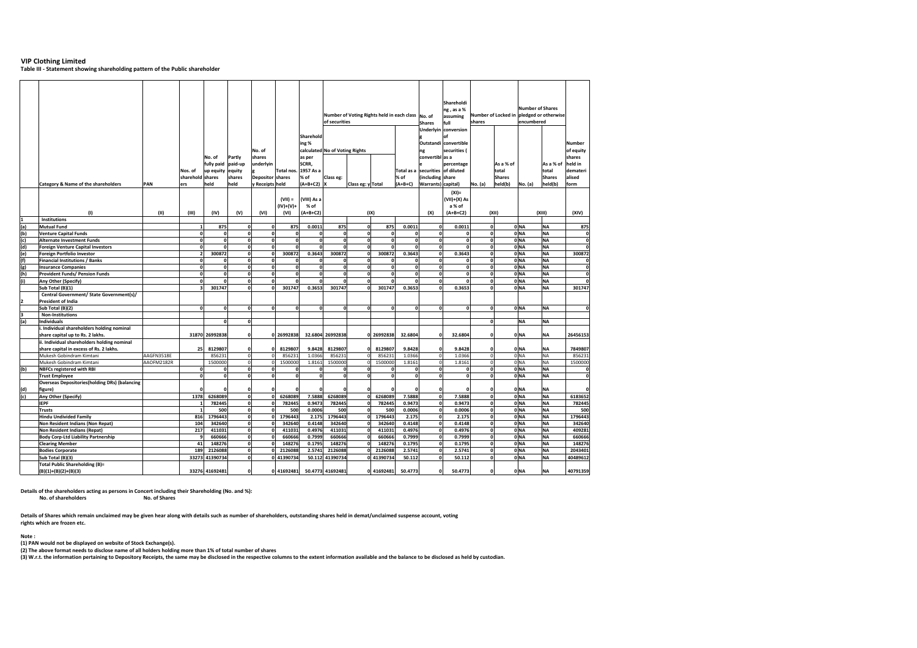**Table III ‐ Statement showing shareholding pattern of the Public shareholder**

|     | Category & Name of the shareholders                   | PAN        | Nos. of<br>sharehold shares<br>ers | No. of<br>fully paid<br>up equity<br>held | Partly<br>paid-up<br>equity<br>shares<br>held | No. of<br>shares<br>underlvin<br><b>Depositor shares</b><br>y Receipts held | Total nos                | Sharehold<br>ing%<br>as per<br>SCRR.<br>1957 As a<br>% of<br>$(A+B+C2)$ X | of securities<br>calculated No of Voting Rights<br>% of<br>Class eg: |              | $(A+B+C)$<br>Class eg: y Total |              | Total as a              |                                    |                |       | Number of Voting Rights held in each class No. of |           |              |  |  |  |  |  |  |  |  |  |  |  |  |  |  |  | Shares<br>ng<br>convertibl as a<br>(including share<br>Warrants) capital) | Shareholdi<br>ng, as a %<br>assuming<br>full<br>Underlyin conversion<br>Outstandi convertible<br>securities (<br>percentage<br>securities of diluted | shares<br>No. (a) | Number of Locked in pledged or otherwise<br>As a % of<br>total<br><b>Shares</b><br>held(b) | <b>Number of Shares</b><br>encumbered<br>No. (a) | As a % of<br>total<br><b>Shares</b><br>held(b) | Number<br>of equity<br>shares<br>held in<br>demateri<br>alised<br>form |
|-----|-------------------------------------------------------|------------|------------------------------------|-------------------------------------------|-----------------------------------------------|-----------------------------------------------------------------------------|--------------------------|---------------------------------------------------------------------------|----------------------------------------------------------------------|--------------|--------------------------------|--------------|-------------------------|------------------------------------|----------------|-------|---------------------------------------------------|-----------|--------------|--|--|--|--|--|--|--|--|--|--|--|--|--|--|--|---------------------------------------------------------------------------|------------------------------------------------------------------------------------------------------------------------------------------------------|-------------------|--------------------------------------------------------------------------------------------|--------------------------------------------------|------------------------------------------------|------------------------------------------------------------------------|
|     |                                                       |            |                                    |                                           |                                               |                                                                             | $(VII) =$<br>$(IV)+(V)+$ | (VIII) As a<br>% of                                                       |                                                                      |              |                                |              |                         | $(XI) =$<br>(VII)+(X) As<br>a % of |                |       |                                                   |           |              |  |  |  |  |  |  |  |  |  |  |  |  |  |  |  |                                                                           |                                                                                                                                                      |                   |                                                                                            |                                                  |                                                |                                                                        |
|     | (1)                                                   | (11)       | (III)                              | (IV)                                      | (V)                                           | (VI)                                                                        | (VI)                     | $(A+B+C2)$                                                                |                                                                      | (IX)         |                                |              | (X)                     | $(A+B+C2)$                         |                | (XII) |                                                   | (XIII)    | (XIV)        |  |  |  |  |  |  |  |  |  |  |  |  |  |  |  |                                                                           |                                                                                                                                                      |                   |                                                                                            |                                                  |                                                |                                                                        |
|     | Institutions                                          |            |                                    |                                           |                                               |                                                                             |                          |                                                                           |                                                                      |              |                                |              |                         |                                    |                |       |                                                   |           |              |  |  |  |  |  |  |  |  |  |  |  |  |  |  |  |                                                                           |                                                                                                                                                      |                   |                                                                                            |                                                  |                                                |                                                                        |
| (a) | <b>Mutual Fund</b>                                    |            | 1                                  | 875                                       | $\Omega$                                      | O                                                                           | 875                      | 0.0011                                                                    | 875                                                                  | $\Omega$     | 875                            | 0.0011       | $\mathbf 0$             | 0.0011                             | $\Omega$       |       | 0 NA                                              | <b>NA</b> | 875          |  |  |  |  |  |  |  |  |  |  |  |  |  |  |  |                                                                           |                                                                                                                                                      |                   |                                                                                            |                                                  |                                                |                                                                        |
| (b) | <b>Venture Capital Funds</b>                          |            | $\Omega$                           | $\mathbf{0}$                              | $\Omega$                                      | 0                                                                           | $\Omega$                 | $\mathbf{0}$                                                              | $\mathbf 0$                                                          | $\mathbf{0}$ |                                |              | $\mathbf{0}$            | $\Omega$                           | $\Omega$       |       | 0 NA                                              | <b>NA</b> | $\Omega$     |  |  |  |  |  |  |  |  |  |  |  |  |  |  |  |                                                                           |                                                                                                                                                      |                   |                                                                                            |                                                  |                                                |                                                                        |
| (c) | <b>Alternate Investment Funds</b>                     |            | $\Omega$                           | $\Omega$                                  | $\mathbf{0}$                                  | ol                                                                          | <sub>0</sub>             | $\mathbf 0$                                                               | $\mathbf{o}$                                                         | $\Omega$     | $\mathbf{0}$                   | $\Omega$     | ol                      | $\mathbf{o}$                       | $\mathbf{0}$   |       | 0 NA                                              | <b>NA</b> | $\Omega$     |  |  |  |  |  |  |  |  |  |  |  |  |  |  |  |                                                                           |                                                                                                                                                      |                   |                                                                                            |                                                  |                                                |                                                                        |
| (d) | <b>Foreign Venture Capital Investors</b>              |            | $\mathbf{0}$                       |                                           | $\mathbf 0$                                   | ol                                                                          | O                        | $\mathbf{0}$                                                              | $\mathbf 0$                                                          | $\Omega$     |                                | n            | $\mathbf{0}$            | $\mathbf 0$                        | $\mathbf 0$    |       | 0 <sub>NA</sub>                                   | <b>NA</b> |              |  |  |  |  |  |  |  |  |  |  |  |  |  |  |  |                                                                           |                                                                                                                                                      |                   |                                                                                            |                                                  |                                                |                                                                        |
| (e) | Foreign Portfolio Investor                            |            | $\overline{2}$                     | 300872                                    | o                                             | 0                                                                           | 300872                   | 0.3643                                                                    | 300872                                                               | o            | 300872                         | 0.3643       | o                       | 0.3643                             | $\mathbf 0$    |       | ONA                                               | <b>NA</b> | 300872       |  |  |  |  |  |  |  |  |  |  |  |  |  |  |  |                                                                           |                                                                                                                                                      |                   |                                                                                            |                                                  |                                                |                                                                        |
| (f) | <b>Financial Institutions / Banks</b>                 |            | ol                                 | $\Omega$                                  | $\Omega$                                      | o                                                                           | $\Omega$                 | $\mathbf 0$                                                               | $\mathbf 0$                                                          | $\Omega$     | $\Omega$                       | n            | $\mathbf{0}$            | $\mathbf 0$                        | $\mathbf{0}$   |       | 0 NA                                              | <b>NA</b> | $\Omega$     |  |  |  |  |  |  |  |  |  |  |  |  |  |  |  |                                                                           |                                                                                                                                                      |                   |                                                                                            |                                                  |                                                |                                                                        |
| (g) | <b>Insurance Companies</b>                            |            | ol                                 | $\mathbf{0}$                              | $\mathbf 0$                                   | 0                                                                           | ol                       | $\mathbf{o}$                                                              | $\pmb{\mathsf{o}}$                                                   | $\Omega$     | $\mathbf 0$                    | $\Omega$     | $\mathbf{0}$            | $\mathbf 0$                        | $\mathbf 0$    |       | 0 NA                                              | <b>NA</b> | $\mathbf 0$  |  |  |  |  |  |  |  |  |  |  |  |  |  |  |  |                                                                           |                                                                                                                                                      |                   |                                                                                            |                                                  |                                                |                                                                        |
| (h) | <b>Provident Funds/ Pension Funds</b>                 |            | ol                                 | $\Omega$                                  | $\mathbf{0}$                                  | o                                                                           | 0                        | $\mathbf{o}$                                                              | $\pmb{\mathsf{o}}$                                                   | $\Omega$     | $\mathbf 0$                    | $\mathbf{0}$ | $\mathbf{0}$            | $\mathbf 0$                        | $\Omega$       |       | 0 NA                                              | <b>NA</b> | $\Omega$     |  |  |  |  |  |  |  |  |  |  |  |  |  |  |  |                                                                           |                                                                                                                                                      |                   |                                                                                            |                                                  |                                                |                                                                        |
| (i) | Any Other (Specify)                                   |            | 0                                  | $\Omega$                                  | $\mathbf{0}$                                  | 0                                                                           | n                        | $\mathbf{0}$                                                              | $\mathbf 0$                                                          | $\Omega$     | $\Omega$                       | $\Omega$     | $\mathbf{0}$            | $\Omega$                           | $\Omega$       |       | 0 NA                                              | <b>NA</b> | $\Omega$     |  |  |  |  |  |  |  |  |  |  |  |  |  |  |  |                                                                           |                                                                                                                                                      |                   |                                                                                            |                                                  |                                                |                                                                        |
|     | Sub Total (B)(1)                                      |            | 3                                  | 301747                                    | $\mathbf{0}$                                  | 0                                                                           | 301747                   | 0.3653                                                                    | 301747                                                               | $\Omega$     | 301747                         | 0.3653       | ol                      | 0.3653                             | $\Omega$       |       | 0 <sub>NA</sub>                                   | <b>NA</b> | 301747       |  |  |  |  |  |  |  |  |  |  |  |  |  |  |  |                                                                           |                                                                                                                                                      |                   |                                                                                            |                                                  |                                                |                                                                        |
|     | Central Government/ State Government(s)/              |            |                                    |                                           |                                               |                                                                             |                          |                                                                           |                                                                      |              |                                |              |                         |                                    |                |       |                                                   |           |              |  |  |  |  |  |  |  |  |  |  |  |  |  |  |  |                                                                           |                                                                                                                                                      |                   |                                                                                            |                                                  |                                                |                                                                        |
|     | President of India                                    |            |                                    |                                           |                                               |                                                                             |                          |                                                                           |                                                                      |              |                                |              |                         |                                    |                |       |                                                   |           |              |  |  |  |  |  |  |  |  |  |  |  |  |  |  |  |                                                                           |                                                                                                                                                      |                   |                                                                                            |                                                  |                                                |                                                                        |
| 12  |                                                       |            | $\Omega$                           |                                           |                                               |                                                                             |                          |                                                                           |                                                                      |              |                                |              | $\Omega$                |                                    |                |       |                                                   |           |              |  |  |  |  |  |  |  |  |  |  |  |  |  |  |  |                                                                           |                                                                                                                                                      |                   |                                                                                            |                                                  |                                                |                                                                        |
|     | Sub Total (B)(2)                                      |            |                                    | $\mathbf 0$                               | $\mathbf{0}$                                  | 0                                                                           | 0                        | $\mathbf 0$                                                               | $\mathbf 0$                                                          | $\Omega$     | $\mathbf 0$                    |              |                         | $\mathbf 0$                        | $\Omega$       |       | 0 <sub>NA</sub>                                   | <b>NA</b> | $\mathbf 0$  |  |  |  |  |  |  |  |  |  |  |  |  |  |  |  |                                                                           |                                                                                                                                                      |                   |                                                                                            |                                                  |                                                |                                                                        |
| lз  | <b>Non-Institutions</b>                               |            |                                    |                                           |                                               |                                                                             |                          |                                                                           |                                                                      |              |                                |              |                         |                                    |                |       |                                                   |           |              |  |  |  |  |  |  |  |  |  |  |  |  |  |  |  |                                                                           |                                                                                                                                                      |                   |                                                                                            |                                                  |                                                |                                                                        |
| (a) | <b>Individuals</b>                                    |            |                                    | $\mathbf 0$                               | $\mathbf{0}$                                  |                                                                             |                          |                                                                           |                                                                      |              |                                |              |                         |                                    | $\Omega$       |       | <b>NA</b>                                         | <b>NA</b> |              |  |  |  |  |  |  |  |  |  |  |  |  |  |  |  |                                                                           |                                                                                                                                                      |                   |                                                                                            |                                                  |                                                |                                                                        |
|     | . Individual shareholders holding nominal             |            |                                    |                                           |                                               |                                                                             |                          |                                                                           |                                                                      |              |                                |              |                         |                                    |                |       |                                                   |           |              |  |  |  |  |  |  |  |  |  |  |  |  |  |  |  |                                                                           |                                                                                                                                                      |                   |                                                                                            |                                                  |                                                |                                                                        |
|     | share capital up to Rs. 2 lakhs.                      |            |                                    | 31870 26992838                            | $\mathbf 0$                                   |                                                                             | 0 26992838               |                                                                           | 32.6804 26992838                                                     |              | 0 26992838                     | 32.6804      | $\mathbf 0$             | 32.6804                            | 0              |       | 0 NA                                              | <b>NA</b> | 26456153     |  |  |  |  |  |  |  |  |  |  |  |  |  |  |  |                                                                           |                                                                                                                                                      |                   |                                                                                            |                                                  |                                                |                                                                        |
|     | ii. Individual shareholders holding nominal           |            |                                    |                                           |                                               |                                                                             |                          |                                                                           |                                                                      |              |                                |              |                         |                                    |                |       |                                                   |           |              |  |  |  |  |  |  |  |  |  |  |  |  |  |  |  |                                                                           |                                                                                                                                                      |                   |                                                                                            |                                                  |                                                |                                                                        |
|     | share capital in excess of Rs. 2 lakhs.               |            | 25                                 | 8129807                                   | 0                                             | 0                                                                           | 8129807                  | 9.8428                                                                    | 8129807                                                              | $\Omega$     | 8129807                        | 9.8428       | 0                       | 9.8428                             | $\Omega$       |       | 0 NA                                              | ΝA        | 7849807      |  |  |  |  |  |  |  |  |  |  |  |  |  |  |  |                                                                           |                                                                                                                                                      |                   |                                                                                            |                                                  |                                                |                                                                        |
|     | Mukesh Gobindram Kimtani                              | AAGFN3518E |                                    | 856231                                    | $\mathbf{0}$                                  | <sub>0</sub>                                                                | 856231                   | 1.0366                                                                    | 856231                                                               | $\Omega$     | 856231                         | 1.0366       | $\mathbf 0$             | 1.0366                             | $\mathfrak{g}$ |       | 0 <sub>NA</sub>                                   | <b>NA</b> | 856231       |  |  |  |  |  |  |  |  |  |  |  |  |  |  |  |                                                                           |                                                                                                                                                      |                   |                                                                                            |                                                  |                                                |                                                                        |
|     | Mukesh Gobindram Kimtani                              | AAOFM2182R |                                    | 1500000                                   | $\pmb{0}$                                     | $\mathbf{0}$                                                                | 1500000                  | 1.8161                                                                    | 1500000                                                              | $\Omega$     | 1500000                        | 1.8161       | $\mathbf 0$             | 1.8161                             | $\overline{0}$ |       | 0 NA                                              | <b>NA</b> | 1500000      |  |  |  |  |  |  |  |  |  |  |  |  |  |  |  |                                                                           |                                                                                                                                                      |                   |                                                                                            |                                                  |                                                |                                                                        |
| (b) | <b>NBFCs registered with RBI</b>                      |            | $\Omega$                           | $\Omega$                                  | $\mathbf{0}$                                  | o                                                                           | $\Omega$                 | $\mathbf{0}$                                                              | $\mathbf 0$                                                          | $\mathbf{0}$ | $\Omega$                       | $\mathbf{0}$ | o                       | $\mathbf 0$                        | $\mathbf 0$    |       | 0 <sub>NA</sub>                                   | <b>NA</b> | $\mathbf 0$  |  |  |  |  |  |  |  |  |  |  |  |  |  |  |  |                                                                           |                                                                                                                                                      |                   |                                                                                            |                                                  |                                                |                                                                        |
|     | <b>Trust Employee</b>                                 |            | 0                                  | $\mathbf 0$                               | $\mathbf{0}$                                  | 0                                                                           | $\Omega$                 | $\mathbf{0}$                                                              | $\mathbf{o}$                                                         | $\Omega$     | $\mathbf{0}$                   | 0            | $\mathbf{0}$            | $\mathbf{o}$                       | $\mathbf{0}$   |       | ONA                                               | <b>NA</b> | $\mathbf{0}$ |  |  |  |  |  |  |  |  |  |  |  |  |  |  |  |                                                                           |                                                                                                                                                      |                   |                                                                                            |                                                  |                                                |                                                                        |
|     | <b>Overseas Depositories (holding DRs) (balancing</b> |            |                                    |                                           |                                               |                                                                             |                          |                                                                           |                                                                      |              |                                |              |                         |                                    |                |       |                                                   |           |              |  |  |  |  |  |  |  |  |  |  |  |  |  |  |  |                                                                           |                                                                                                                                                      |                   |                                                                                            |                                                  |                                                |                                                                        |
|     | figure)                                               |            |                                    |                                           | 0                                             | n                                                                           |                          | n                                                                         |                                                                      | c            |                                |              | $\Omega$                | $\Omega$                           | O              |       | 0 NA                                              | <b>NA</b> |              |  |  |  |  |  |  |  |  |  |  |  |  |  |  |  |                                                                           |                                                                                                                                                      |                   |                                                                                            |                                                  |                                                |                                                                        |
| (c) | Any Other (Specify)                                   |            | 1378                               | 6268089                                   | $\mathbf{0}$                                  | 0                                                                           | 6268089                  | 7.5888                                                                    | 6268089                                                              | $\Omega$     | 6268089                        | 7.5888       | $\mathbf{0}$            | 7.5888                             | $\mathbf{0}$   |       | 0 NA                                              | <b>NA</b> | 6183652      |  |  |  |  |  |  |  |  |  |  |  |  |  |  |  |                                                                           |                                                                                                                                                      |                   |                                                                                            |                                                  |                                                |                                                                        |
|     | <b>IEPF</b>                                           |            |                                    | 782445                                    | $\overline{\mathbf{0}}$                       | $\mathbf{0}$                                                                | 782445                   | 0.9473                                                                    | 782445                                                               | $\Omega$     | 782445                         | 0.9473       | $\mathbf{0}$            | 0.9473                             | O              |       | 0 NA                                              | <b>NA</b> | 782445       |  |  |  |  |  |  |  |  |  |  |  |  |  |  |  |                                                                           |                                                                                                                                                      |                   |                                                                                            |                                                  |                                                |                                                                        |
|     | <b>Trusts</b>                                         |            | $\mathbf{1}$                       | 500                                       | $\pmb{0}$                                     | 0                                                                           | 500                      | 0.0006                                                                    | 500                                                                  | $\mathbf{0}$ | 500                            | 0.0006       | $\mathbf{0}$            | 0.0006                             | $\Omega$       |       | ONA                                               | <b>NA</b> | 500          |  |  |  |  |  |  |  |  |  |  |  |  |  |  |  |                                                                           |                                                                                                                                                      |                   |                                                                                            |                                                  |                                                |                                                                        |
|     | <b>Hindu Undivided Family</b>                         |            | 816                                | 1796443                                   | $\mathbf{0}$                                  | 0                                                                           | 1796443                  | 2.175                                                                     | 1796443                                                              | $\Omega$     | 1796443                        | 2.175        | $\overline{\mathbf{0}}$ | 2.175                              | $\mathbf 0$    |       | ONA                                               | <b>NA</b> | 1796443      |  |  |  |  |  |  |  |  |  |  |  |  |  |  |  |                                                                           |                                                                                                                                                      |                   |                                                                                            |                                                  |                                                |                                                                        |
|     | Non Resident Indians (Non Repat)                      |            | 104                                | 342640                                    | $\mathbf{0}$                                  | $\Omega$                                                                    | 342640                   | 0.4148                                                                    | 342640                                                               | $\Omega$     | 342640                         | 0.4148       | $\overline{\mathbf{0}}$ | 0.4148                             | $\mathbf 0$    |       | ONA                                               | <b>NA</b> | 342640       |  |  |  |  |  |  |  |  |  |  |  |  |  |  |  |                                                                           |                                                                                                                                                      |                   |                                                                                            |                                                  |                                                |                                                                        |
|     | Non Resident Indians (Repat)                          |            | 217                                | 411031                                    | $\mathbf{0}$                                  | O                                                                           | 411031                   | 0.4976                                                                    | 411031                                                               | $\Omega$     | 411031                         | 0.4976       | $\mathbf{0}$            | 0.4976                             | $\mathbf 0$    |       | 0 NA                                              | <b>NA</b> | 409281       |  |  |  |  |  |  |  |  |  |  |  |  |  |  |  |                                                                           |                                                                                                                                                      |                   |                                                                                            |                                                  |                                                |                                                                        |
|     | <b>Body Corp-Ltd Liability Partnership</b>            |            | q                                  | 660666                                    | $\mathbf{0}$                                  | 0                                                                           | 660666                   | 0.7999                                                                    | 660666                                                               | $\Omega$     | 660666                         | 0.7999       | $\mathbf{0}$            | 0.7999                             | $\mathbf 0$    |       | 0 NA                                              | <b>NA</b> | 660666       |  |  |  |  |  |  |  |  |  |  |  |  |  |  |  |                                                                           |                                                                                                                                                      |                   |                                                                                            |                                                  |                                                |                                                                        |
|     | <b>Clearing Member</b>                                |            | 41                                 | 148276                                    | $\mathbf 0$                                   | o                                                                           | 148276                   | 0.1795                                                                    | 148276                                                               | $\Omega$     | 148276                         | 0.1795       | $\mathbf{0}$            | 0.1795                             | $\Omega$       |       | 0 NA                                              | <b>NA</b> | 148276       |  |  |  |  |  |  |  |  |  |  |  |  |  |  |  |                                                                           |                                                                                                                                                      |                   |                                                                                            |                                                  |                                                |                                                                        |
|     | <b>Bodies Corporate</b>                               |            | 189                                | 2126088                                   | $\mathbf{0}$                                  | $\Omega$                                                                    | 2126088                  | 2.5741                                                                    | 2126088                                                              | $\Omega$     | 2126088                        | 2.5741       | $\mathbf{0}$            | 2.5741                             | $\Omega$       |       | 0 NA                                              | <b>NA</b> | 2043401      |  |  |  |  |  |  |  |  |  |  |  |  |  |  |  |                                                                           |                                                                                                                                                      |                   |                                                                                            |                                                  |                                                |                                                                        |
|     | Sub Total (B)(3)                                      |            |                                    | 33273 41390734                            | $\mathbf{0}$                                  |                                                                             | 0 41390734               |                                                                           | 50.112 41390734                                                      |              | 0 41390734                     | 50.112       | ol                      | 50.112                             | $\Omega$       |       | 0 NA                                              | <b>NA</b> | 40489612     |  |  |  |  |  |  |  |  |  |  |  |  |  |  |  |                                                                           |                                                                                                                                                      |                   |                                                                                            |                                                  |                                                |                                                                        |
|     | <b>Total Public Shareholding (B)=</b>                 |            |                                    |                                           |                                               |                                                                             |                          |                                                                           |                                                                      |              |                                |              |                         |                                    |                |       |                                                   |           |              |  |  |  |  |  |  |  |  |  |  |  |  |  |  |  |                                                                           |                                                                                                                                                      |                   |                                                                                            |                                                  |                                                |                                                                        |
|     | $(B)(1)+(B)(2)+(B)(3)$                                |            |                                    | 33276 41692481                            | $\Omega$                                      |                                                                             | 0 41692481               |                                                                           | 50.4773 41692481                                                     |              | 0 41692481                     | 50.4773      | 0                       | 50.4773                            | $\Omega$       |       | 0 <sub>NA</sub>                                   | <b>NA</b> | 40791359     |  |  |  |  |  |  |  |  |  |  |  |  |  |  |  |                                                                           |                                                                                                                                                      |                   |                                                                                            |                                                  |                                                |                                                                        |

**Details of the shareholders acting as persons in Concert including their Shareholding (No. and %): No. of shareholders No. of Shares**

**Details of Shares which remain unclaimed may be given hear along with details such as number of shareholders, outstanding shares held in demat/unclaimed suspense account, voting rights which are frozen etc.**

#### **Note :**

**(1) PAN would not be displayed on website of Stock Exchange(s).**

(2) The above format needs to disclose name of all holders holding more than 1% of total number of shares<br>(3) W.r.t. the information pertaining to Depository Receipts, the same may be disclosed in the respective columns to